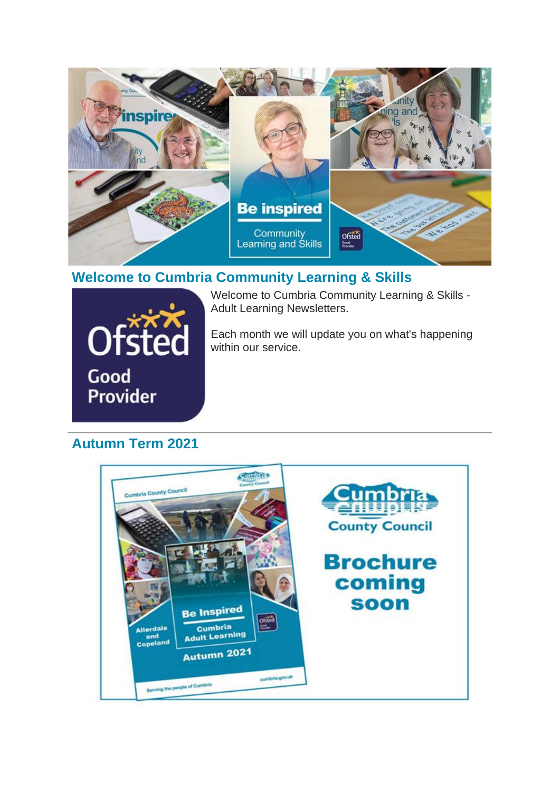

### **Welcome to Cumbria Community Learning & Skills**



Welcome to Cumbria Community Learning & Skills - Adult Learning Newsletters.

Each month we will update you on what's happening within our service.

# **Autumn Term 2021**

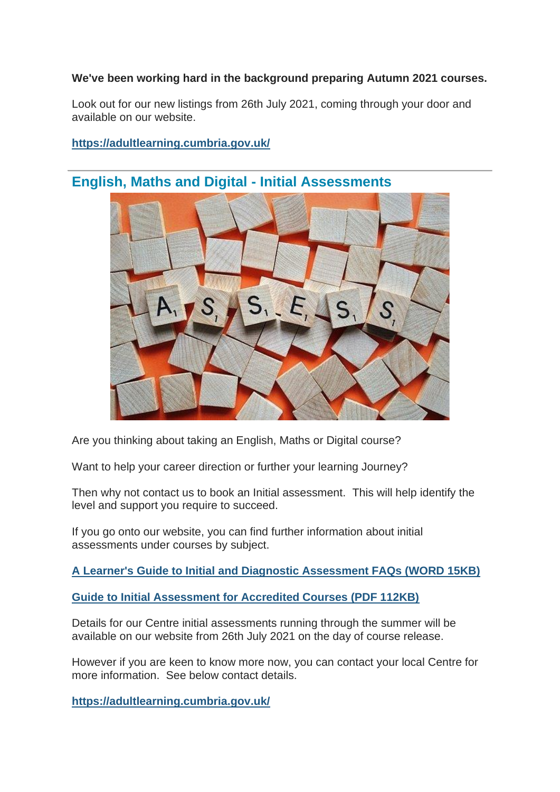#### **We've been working hard in the background preparing Autumn 2021 courses.**

Look out for our new listings from 26th July 2021, coming through your door and available on our website.

#### **[https://adultlearning.cumbria.gov.uk/](https://lnks.gd/l/eyJhbGciOiJIUzI1NiJ9.eyJidWxsZXRpbl9saW5rX2lkIjoxMDIsInVyaSI6ImJwMjpjbGljayIsImJ1bGxldGluX2lkIjoiMjAyMTA3MTIuNDMwNzQwNzEiLCJ1cmwiOiJodHRwczovL2FkdWx0bGVhcm5pbmcuY3VtYnJpYS5nb3YudWsvIn0.b-ro07Rt4zCggjOFwBUr5I1ah10dDDJ4CWfI0tleeo4/s/1309093678/br/109144199658-l)**



## **English, Maths and Digital - Initial Assessments**

Are you thinking about taking an English, Maths or Digital course?

Want to help your career direction or further your learning Journey?

Then why not contact us to book an Initial assessment. This will help identify the level and support you require to succeed.

If you go onto our website, you can find further information about initial assessments under courses by subject.

**[A Learner's Guide to Initial and Diagnostic Assessment FAQs \(WORD 15KB\)](https://lnks.gd/l/eyJhbGciOiJIUzI1NiJ9.eyJidWxsZXRpbl9saW5rX2lkIjoxMDMsInVyaSI6ImJwMjpjbGljayIsImJ1bGxldGluX2lkIjoiMjAyMTA3MTIuNDMwNzQwNzEiLCJ1cmwiOiJodHRwczovL2N1bWJyaWEuZ292LnVrL2VsaWJyYXJ5L0NvbnRlbnQvSW50ZXJuZXQvNTM3LzE3OTU5LzE3OTYwLzQ0MDQyMTQ0MjIzLmRvY3gifQ.N2DVztqPDq6qOyQjB-AM9wdObvmSE4CRJiVsxNK7res/s/1309093678/br/109144199658-l)**

**[Guide to Initial Assessment for Accredited Courses \(PDF 112KB\)](https://lnks.gd/l/eyJhbGciOiJIUzI1NiJ9.eyJidWxsZXRpbl9saW5rX2lkIjoxMDQsInVyaSI6ImJwMjpjbGljayIsImJ1bGxldGluX2lkIjoiMjAyMTA3MTIuNDMwNzQwNzEiLCJ1cmwiOiJodHRwczovL2N1bWJyaWEuZ292LnVrL2VsaWJyYXJ5L0NvbnRlbnQvSW50ZXJuZXQvNTM3LzE3OTU5LzE3OTYwLzQ0MDQyMTQ1MDU0LnBkZiJ9.FRHrNe78v9rApi5dxvHREN3u2O1PdhOTCZVIXvi8-ic/s/1309093678/br/109144199658-l)**

Details for our Centre initial assessments running through the summer will be available on our website from 26th July 2021 on the day of course release.

However if you are keen to know more now, you can contact your local Centre for more information. See below contact details.

**[https://adultlearning.cumbria.gov.uk/](https://lnks.gd/l/eyJhbGciOiJIUzI1NiJ9.eyJidWxsZXRpbl9saW5rX2lkIjoxMDUsInVyaSI6ImJwMjpjbGljayIsImJ1bGxldGluX2lkIjoiMjAyMTA3MTIuNDMwNzQwNzEiLCJ1cmwiOiJodHRwczovL2FkdWx0bGVhcm5pbmcuY3VtYnJpYS5nb3YudWsvP2ZiY2xpZD1Jd0FSMGFIQzBhUlJSa0JkRE83VEpReFp1U3NXZUNGZVhhMmQtZXBzSG94czVSZW9CbV9WeWlNRVBhZjJBIn0.JlS1VKnU5Hhfzu2_bbyk_8OOViJyhFjex2lKnxdH6xI/s/1309093678/br/109144199658-l)**